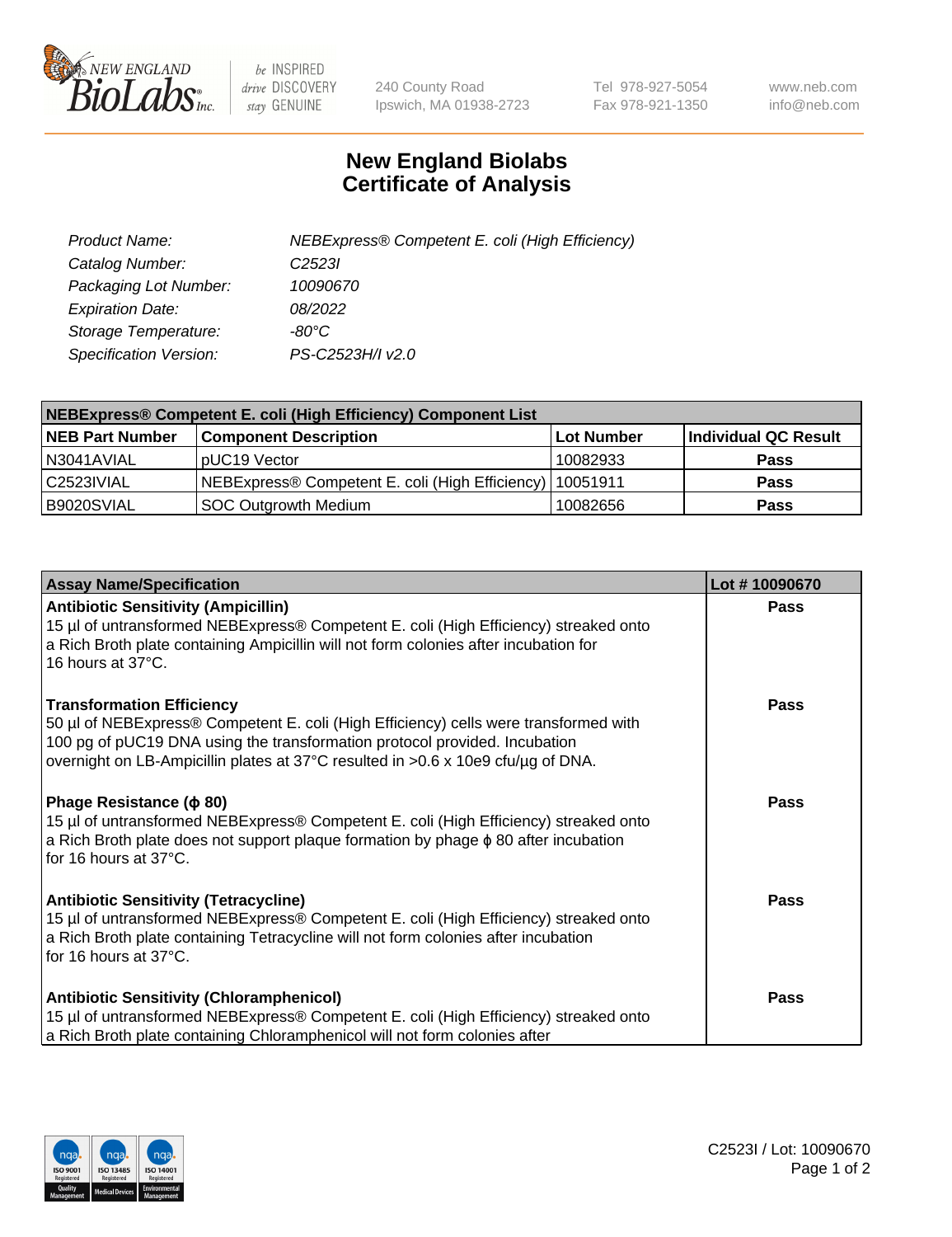

 $be$  INSPIRED drive DISCOVERY stay GENUINE

240 County Road Ipswich, MA 01938-2723 Tel 978-927-5054 Fax 978-921-1350 www.neb.com info@neb.com

## **New England Biolabs Certificate of Analysis**

| Product Name:           | NEBExpress® Competent E. coli (High Efficiency) |
|-------------------------|-------------------------------------------------|
| Catalog Number:         | C <sub>2523</sub>                               |
| Packaging Lot Number:   | 10090670                                        |
| <b>Expiration Date:</b> | 08/2022                                         |
| Storage Temperature:    | -80°C                                           |
| Specification Version:  | PS-C2523H/I v2.0                                |

| <b>NEBExpress® Competent E. coli (High Efficiency) Component List</b> |                                                            |            |                      |  |
|-----------------------------------------------------------------------|------------------------------------------------------------|------------|----------------------|--|
| <b>NEB Part Number</b>                                                | <b>Component Description</b>                               | Lot Number | Individual QC Result |  |
| N3041AVIAL                                                            | pUC19 Vector                                               | 10082933   | <b>Pass</b>          |  |
| C2523IVIAL                                                            | NEBExpress® Competent E. coli (High Efficiency)   10051911 |            | <b>Pass</b>          |  |
| B9020SVIAL                                                            | <b>SOC Outgrowth Medium</b>                                | 10082656   | <b>Pass</b>          |  |

| <b>Assay Name/Specification</b>                                                                                                                                                                                                                                                            | Lot #10090670 |
|--------------------------------------------------------------------------------------------------------------------------------------------------------------------------------------------------------------------------------------------------------------------------------------------|---------------|
| <b>Antibiotic Sensitivity (Ampicillin)</b><br>15 µl of untransformed NEBExpress® Competent E. coli (High Efficiency) streaked onto<br>a Rich Broth plate containing Ampicillin will not form colonies after incubation for<br>16 hours at 37°C.                                            | <b>Pass</b>   |
| <b>Transformation Efficiency</b><br>50 µl of NEBExpress® Competent E. coli (High Efficiency) cells were transformed with<br>100 pg of pUC19 DNA using the transformation protocol provided. Incubation<br>overnight on LB-Ampicillin plates at 37°C resulted in >0.6 x 10e9 cfu/µg of DNA. | Pass          |
| Phage Resistance ( $\phi$ 80)<br>15 µl of untransformed NEBExpress® Competent E. coli (High Efficiency) streaked onto<br>a Rich Broth plate does not support plaque formation by phage $\phi$ 80 after incubation<br>for 16 hours at 37°C.                                                 | Pass          |
| <b>Antibiotic Sensitivity (Tetracycline)</b><br>15 µl of untransformed NEBExpress® Competent E. coli (High Efficiency) streaked onto<br>a Rich Broth plate containing Tetracycline will not form colonies after incubation<br>for 16 hours at 37°C.                                        | <b>Pass</b>   |
| <b>Antibiotic Sensitivity (Chloramphenicol)</b><br>15 µl of untransformed NEBExpress® Competent E. coli (High Efficiency) streaked onto<br>a Rich Broth plate containing Chloramphenicol will not form colonies after                                                                      | Pass          |